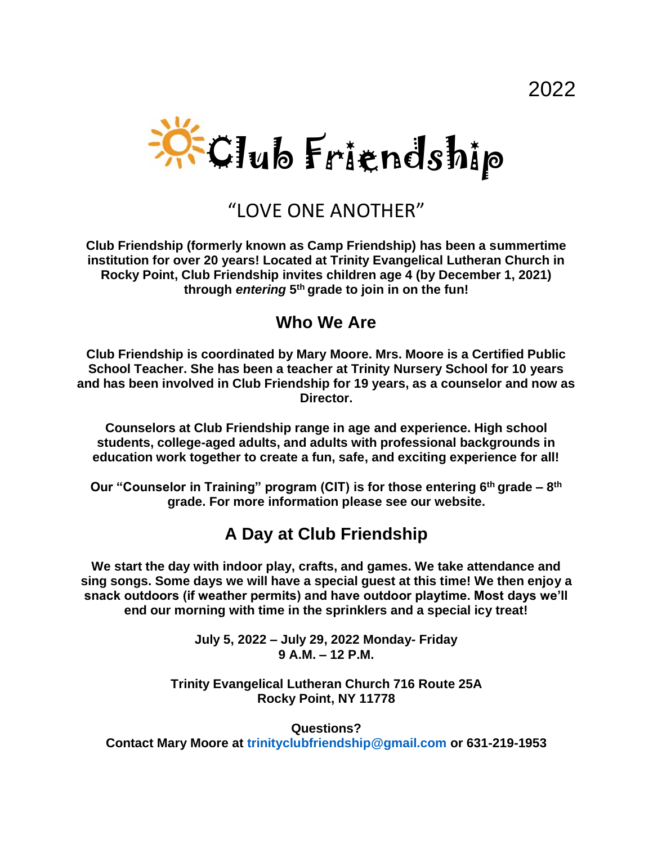

# "I OVE ONE ANOTHER"

**Club Friendship (formerly known as Camp Friendship) has been a summertime institution for over 20 years! Located at Trinity Evangelical Lutheran Church in Rocky Point, Club Friendship invites children age 4 (by December 1, 2021) through** *entering* **5 th grade to join in on the fun!**

#### **Who We Are**

**Club Friendship is coordinated by Mary Moore. Mrs. Moore is a Certified Public School Teacher. She has been a teacher at Trinity Nursery School for 10 years and has been involved in Club Friendship for 19 years, as a counselor and now as Director.**

**Counselors at Club Friendship range in age and experience. High school students, college-aged adults, and adults with professional backgrounds in education work together to create a fun, safe, and exciting experience for all!**

**Our "Counselor in Training" program (CIT) is for those entering 6th grade – 8 th grade. For more information please see our website.**

#### **A Day at Club Friendship**

**We start the day with indoor play, crafts, and games. We take attendance and sing songs. Some days we will have a special guest at this time! We then enjoy a snack outdoors (if weather permits) and have outdoor playtime. Most days we'll end our morning with time in the sprinklers and a special icy treat!**

> **July 5, 2022 – July 29, 2022 Monday- Friday 9 A.M. – 12 P.M.**

**Trinity Evangelical Lutheran Church 716 Route 25A Rocky Point, NY 11778**

**Questions? Contact Mary Moore at trinityclubfriendship@gmail.com or 631-219-1953**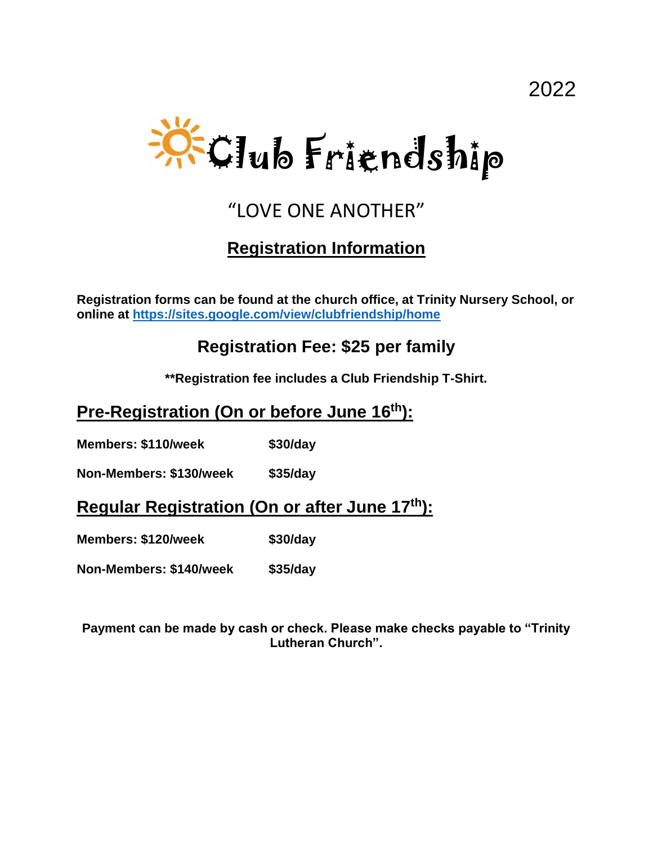

# "LOVE ONE ANOTHER"

### **Registration Information**

**Registration forms can be found at the church office, at Trinity Nursery School, or online at<https://sites.google.com/view/clubfriendship/home>**

### **Registration Fee: \$25 per family**

**\*\*Registration fee includes a Club Friendship T-Shirt.**

#### **Pre-Registration (On or before June 16 th):**

**Members: \$110/week \$30/day** 

**Non-Members: \$130/week \$35/day**

**Regular Registration (On or after June 17 th):**

**Members: \$120/week \$30/day** 

**Non-Members: \$140/week \$35/day**

**Payment can be made by cash or check. Please make checks payable to "Trinity Lutheran Church".**